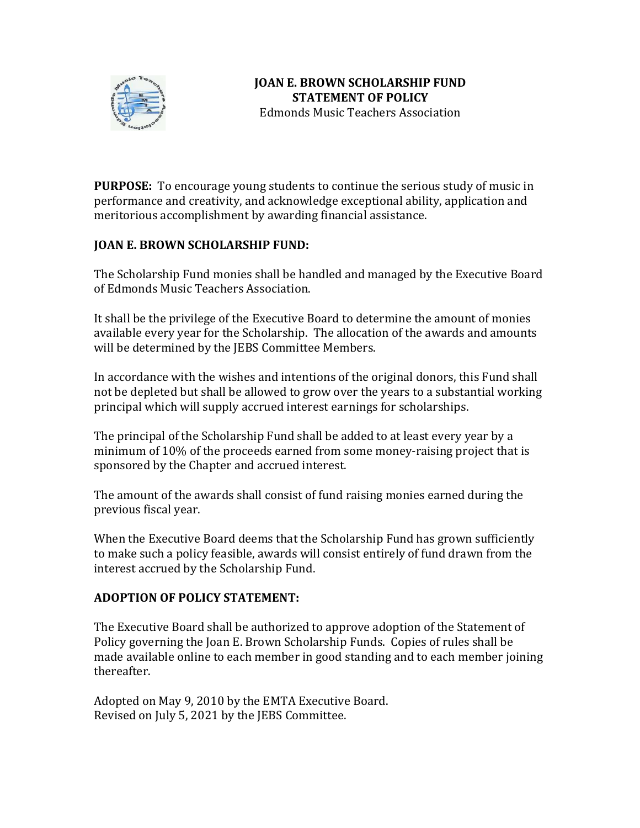

**PURPOSE:** To encourage young students to continue the serious study of music in performance and creativity, and acknowledge exceptional ability, application and meritorious accomplishment by awarding financial assistance.

## **JOAN E. BROWN SCHOLARSHIP FUND:**

The Scholarship Fund monies shall be handled and managed by the Executive Board of Edmonds Music Teachers Association.

It shall be the privilege of the Executive Board to determine the amount of monies available every year for the Scholarship. The allocation of the awards and amounts will be determined by the JEBS Committee Members.

In accordance with the wishes and intentions of the original donors, this Fund shall not be depleted but shall be allowed to grow over the years to a substantial working principal which will supply accrued interest earnings for scholarships.

The principal of the Scholarship Fund shall be added to at least every year by a minimum of 10% of the proceeds earned from some money-raising project that is sponsored by the Chapter and accrued interest.

The amount of the awards shall consist of fund raising monies earned during the previous fiscal year.

When the Executive Board deems that the Scholarship Fund has grown sufficiently to make such a policy feasible, awards will consist entirely of fund drawn from the interest accrued by the Scholarship Fund.

## **ADOPTION OF POLICY STATEMENT:**

The Executive Board shall be authorized to approve adoption of the Statement of Policy governing the Joan E. Brown Scholarship Funds. Copies of rules shall be made available online to each member in good standing and to each member joining thereafter.

Adopted on May 9, 2010 by the EMTA Executive Board. Revised on July 5, 2021 by the JEBS Committee.